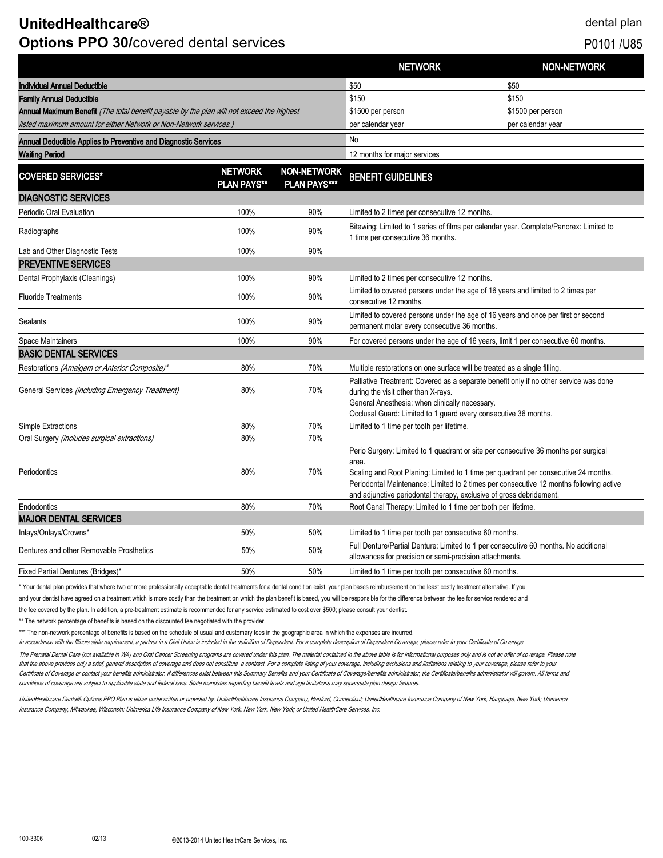# **UnitedHealthcare®** dental plan **Options PPO 30/covered dental services PD101** /U85

|                                                                                           |                                      |                                           | <b>NETWORK</b>                                                                                                                                                                                                                                                                                                                                       | <b>NON-NETWORK</b> |
|-------------------------------------------------------------------------------------------|--------------------------------------|-------------------------------------------|------------------------------------------------------------------------------------------------------------------------------------------------------------------------------------------------------------------------------------------------------------------------------------------------------------------------------------------------------|--------------------|
| <b>Individual Annual Deductible</b>                                                       |                                      |                                           | \$50                                                                                                                                                                                                                                                                                                                                                 | \$50               |
| <b>Family Annual Deductible</b>                                                           |                                      |                                           | \$150                                                                                                                                                                                                                                                                                                                                                | \$150              |
| Annual Maximum Benefit (The total benefit payable by the plan will not exceed the highest |                                      |                                           | \$1500 per person                                                                                                                                                                                                                                                                                                                                    | \$1500 per person  |
| listed maximum amount for either Network or Non-Network services.)                        |                                      |                                           | per calendar year                                                                                                                                                                                                                                                                                                                                    | per calendar year  |
| Annual Deductible Applies to Preventive and Diagnostic Services                           |                                      | No                                        |                                                                                                                                                                                                                                                                                                                                                      |                    |
| <b>Waiting Period</b>                                                                     |                                      |                                           | 12 months for major services                                                                                                                                                                                                                                                                                                                         |                    |
| <b>COVERED SERVICES*</b>                                                                  | <b>NETWORK</b><br><b>PLAN PAYS**</b> | <b>NON-NETWORK</b><br><b>PLAN PAYS***</b> | <b>BENEFIT GUIDELINES</b>                                                                                                                                                                                                                                                                                                                            |                    |
| <b>DIAGNOSTIC SERVICES</b>                                                                |                                      |                                           |                                                                                                                                                                                                                                                                                                                                                      |                    |
| Periodic Oral Evaluation                                                                  | 100%                                 | 90%                                       | Limited to 2 times per consecutive 12 months.                                                                                                                                                                                                                                                                                                        |                    |
| Radiographs                                                                               | 100%                                 | 90%                                       | Bitewing: Limited to 1 series of films per calendar year. Complete/Panorex: Limited to<br>1 time per consecutive 36 months.                                                                                                                                                                                                                          |                    |
| Lab and Other Diagnostic Tests                                                            | 100%                                 | 90%                                       |                                                                                                                                                                                                                                                                                                                                                      |                    |
| <b>PREVENTIVE SERVICES</b>                                                                |                                      |                                           |                                                                                                                                                                                                                                                                                                                                                      |                    |
| Dental Prophylaxis (Cleanings)                                                            | 100%                                 | 90%                                       | Limited to 2 times per consecutive 12 months.                                                                                                                                                                                                                                                                                                        |                    |
| <b>Fluoride Treatments</b>                                                                | 100%                                 | 90%                                       | Limited to covered persons under the age of 16 years and limited to 2 times per<br>consecutive 12 months.                                                                                                                                                                                                                                            |                    |
| <b>Sealants</b>                                                                           | 100%                                 | 90%                                       | Limited to covered persons under the age of 16 years and once per first or second<br>permanent molar every consecutive 36 months.                                                                                                                                                                                                                    |                    |
| Space Maintainers                                                                         | 100%                                 | 90%                                       | For covered persons under the age of 16 years, limit 1 per consecutive 60 months.                                                                                                                                                                                                                                                                    |                    |
| <b>BASIC DENTAL SERVICES</b>                                                              |                                      |                                           |                                                                                                                                                                                                                                                                                                                                                      |                    |
| Restorations (Amalgam or Anterior Composite)*                                             | 80%                                  | 70%                                       | Multiple restorations on one surface will be treated as a single filling.                                                                                                                                                                                                                                                                            |                    |
| General Services (including Emergency Treatment)                                          | 80%                                  | 70%                                       | Palliative Treatment: Covered as a separate benefit only if no other service was done<br>during the visit other than X-rays.<br>General Anesthesia: when clinically necessary.<br>Occlusal Guard: Limited to 1 guard every consecutive 36 months.                                                                                                    |                    |
| Simple Extractions                                                                        | 80%                                  | 70%                                       | Limited to 1 time per tooth per lifetime.                                                                                                                                                                                                                                                                                                            |                    |
| Oral Surgery (includes surgical extractions)                                              | 80%                                  | 70%                                       |                                                                                                                                                                                                                                                                                                                                                      |                    |
| Periodontics                                                                              | 80%                                  | 70%                                       | Perio Surgery: Limited to 1 quadrant or site per consecutive 36 months per surgical<br>area.<br>Scaling and Root Planing: Limited to 1 time per quadrant per consecutive 24 months.<br>Periodontal Maintenance: Limited to 2 times per consecutive 12 months following active<br>and adjunctive periodontal therapy, exclusive of gross debridement. |                    |
| Endodontics                                                                               | 80%                                  | 70%                                       | Root Canal Therapy: Limited to 1 time per tooth per lifetime.                                                                                                                                                                                                                                                                                        |                    |
| <b>MAJOR DENTAL SERVICES</b>                                                              |                                      |                                           |                                                                                                                                                                                                                                                                                                                                                      |                    |
| Inlays/Onlays/Crowns*                                                                     | 50%                                  | 50%                                       | Limited to 1 time per tooth per consecutive 60 months.                                                                                                                                                                                                                                                                                               |                    |
| Dentures and other Removable Prosthetics                                                  | 50%                                  | 50%                                       | Full Denture/Partial Denture: Limited to 1 per consecutive 60 months. No additional<br>allowances for precision or semi-precision attachments.                                                                                                                                                                                                       |                    |
| Fixed Partial Dentures (Bridges)*                                                         | 50%                                  | 50%                                       | Limited to 1 time per tooth per consecutive 60 months.                                                                                                                                                                                                                                                                                               |                    |

\* Your dental plan provides that where two or more professionally acceptable dental treatments for a dental condition exist, your plan bases reimbursement on the least costly treatment alternative. If you

and your dentist have agreed on a treatment which is more costly than the treatment on which the plan benefit is based, you will be responsible for the difference between the fee for service rendered and

the fee covered by the plan. In addition, a pre-treatment estimate is recommended for any service estimated to cost over \$500; please consult your dentist.

\*\* The network percentage of benefits is based on the discounted fee negotiated with the provider.

\*\*\* The non-network percentage of benefits is based on the schedule of usual and customary fees in the geographic area in which the expenses are incurred.

In accordance with the Illinois state requirement, a partner in a Civil Union is included in the definition of Dependent. For a complete description of Dependent Coverage, please refer to your Certificate of Coverage.

The Prenatal Dental Care (not available in WA) and Oral Cancer Screening programs are covered under this plan. The material contained in the above table is for informational purposes only and is not an offer of coverage. P that the above provides only a brief, general description of coverage and does not constitute a contract. For a complete listing of your coverage, including exclusions and limitations relating to your coverage, please refe Certificate of Coverage or contact your benefits administrator. If differences exist between this Summary Benefits and your Certificate of Coverage/benefits administrator, the Certificate/benefits administrator will govern conditions of coverage are subject to applicable state and federal laws. State mandates regarding benefit levels and age limitations may supersede plan design features.

UnitedHealthcare Dental® Options PPO Plan is either underwritten or provided by: UnitedHealthcare Insurance Company, Hartford, Connecticut; UnitedHealthcare Insurance Company of New York, Hauppage, New York; Unimerica Insurance Company, Milwaukee, Wisconsin; Unimerica Life Insurance Company of New York, New York, New York; or United HealthCare Services, Inc.